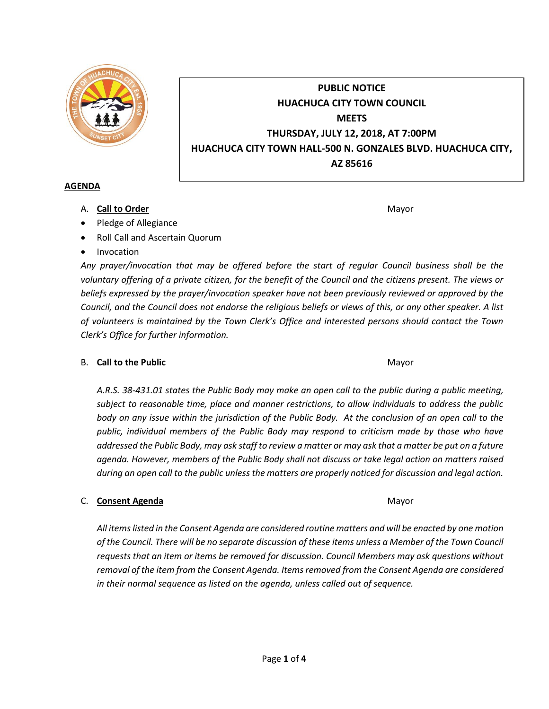

# **PUBLIC NOTICE HUACHUCA CITY TOWN COUNCIL MEETS THURSDAY, JULY 12, 2018, AT 7:00PM HUACHUCA CITY TOWN HALL-500 N. GONZALES BLVD. HUACHUCA CITY, AZ 85616**

## **AGENDA**

A. **Call to Order** Mayor **Mayor** Mayor **Mayor** Mayor **Mayor** 

- Pledge of Allegiance
- Roll Call and Ascertain Quorum
- Invocation

*Any prayer/invocation that may be offered before the start of regular Council business shall be the voluntary offering of a private citizen, for the benefit of the Council and the citizens present. The views or beliefs expressed by the prayer/invocation speaker have not been previously reviewed or approved by the Council, and the Council does not endorse the religious beliefs or views of this, or any other speaker. A list of volunteers is maintained by the Town Clerk's Office and interested persons should contact the Town Clerk's Office for further information.*

## B. **Call to the Public** Mayor **Mayor** Mayor **Mayor** Mayor

*A.R.S. 38-431.01 states the Public Body may make an open call to the public during a public meeting, subject to reasonable time, place and manner restrictions, to allow individuals to address the public body on any issue within the jurisdiction of the Public Body. At the conclusion of an open call to the public, individual members of the Public Body may respond to criticism made by those who have addressed the Public Body, may ask staff to review a matter or may ask that a matter be put on a future agenda. However, members of the Public Body shall not discuss or take legal action on matters raised during an open call to the public unless the matters are properly noticed for discussion and legal action.*

## C. **Consent Agenda** Mayor **C. Consent Agenda** Mayor **Mayor**

*All items listed in the Consent Agenda are considered routine matters and will be enacted by one motion of the Council. There will be no separate discussion of these items unless a Member of the Town Council requests that an item or items be removed for discussion. Council Members may ask questions without removal of the item from the Consent Agenda. Items removed from the Consent Agenda are considered in their normal sequence as listed on the agenda, unless called out of sequence.*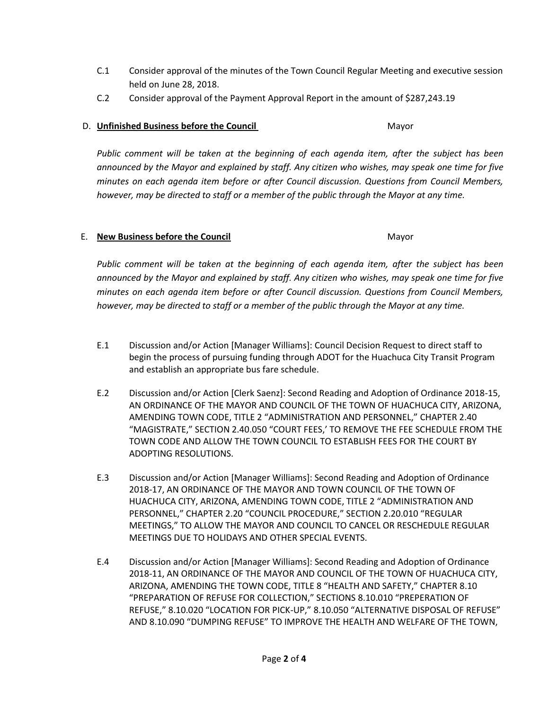- C.1 Consider approval of the minutes of the Town Council Regular Meeting and executive session held on June 28, 2018.
- C.2 Consider approval of the Payment Approval Report in the amount of \$287,243.19

## D. **Unfinished Business before the Council** Mayor

*Public comment will be taken at the beginning of each agenda item, after the subject has been announced by the Mayor and explained by staff. Any citizen who wishes, may speak one time for five minutes on each agenda item before or after Council discussion. Questions from Council Members, however, may be directed to staff or a member of the public through the Mayor at any time.*

## E. **New Business before the Council** Mayor

*Public comment will be taken at the beginning of each agenda item, after the subject has been announced by the Mayor and explained by staff. Any citizen who wishes, may speak one time for five minutes on each agenda item before or after Council discussion. Questions from Council Members, however, may be directed to staff or a member of the public through the Mayor at any time.*

- E.1 Discussion and/or Action [Manager Williams]: Council Decision Request to direct staff to begin the process of pursuing funding through ADOT for the Huachuca City Transit Program and establish an appropriate bus fare schedule.
- E.2 Discussion and/or Action [Clerk Saenz]: Second Reading and Adoption of Ordinance 2018-15, AN ORDINANCE OF THE MAYOR AND COUNCIL OF THE TOWN OF HUACHUCA CITY, ARIZONA, AMENDING TOWN CODE, TITLE 2 "ADMINISTRATION AND PERSONNEL," CHAPTER 2.40 "MAGISTRATE," SECTION 2.40.050 "COURT FEES,' TO REMOVE THE FEE SCHEDULE FROM THE TOWN CODE AND ALLOW THE TOWN COUNCIL TO ESTABLISH FEES FOR THE COURT BY ADOPTING RESOLUTIONS.
- E.3 Discussion and/or Action [Manager Williams]: Second Reading and Adoption of Ordinance 2018-17, AN ORDINANCE OF THE MAYOR AND TOWN COUNCIL OF THE TOWN OF HUACHUCA CITY, ARIZONA, AMENDING TOWN CODE, TITLE 2 "ADMINISTRATION AND PERSONNEL," CHAPTER 2.20 "COUNCIL PROCEDURE," SECTION 2.20.010 "REGULAR MEETINGS," TO ALLOW THE MAYOR AND COUNCIL TO CANCEL OR RESCHEDULE REGULAR MEETINGS DUE TO HOLIDAYS AND OTHER SPECIAL EVENTS.
- E.4 Discussion and/or Action [Manager Williams]: Second Reading and Adoption of Ordinance 2018-11, AN ORDINANCE OF THE MAYOR AND COUNCIL OF THE TOWN OF HUACHUCA CITY, ARIZONA, AMENDING THE TOWN CODE, TITLE 8 "HEALTH AND SAFETY," CHAPTER 8.10 "PREPARATION OF REFUSE FOR COLLECTION," SECTIONS 8.10.010 "PREPERATION OF REFUSE," 8.10.020 "LOCATION FOR PICK-UP," 8.10.050 "ALTERNATIVE DISPOSAL OF REFUSE" AND 8.10.090 "DUMPING REFUSE" TO IMPROVE THE HEALTH AND WELFARE OF THE TOWN,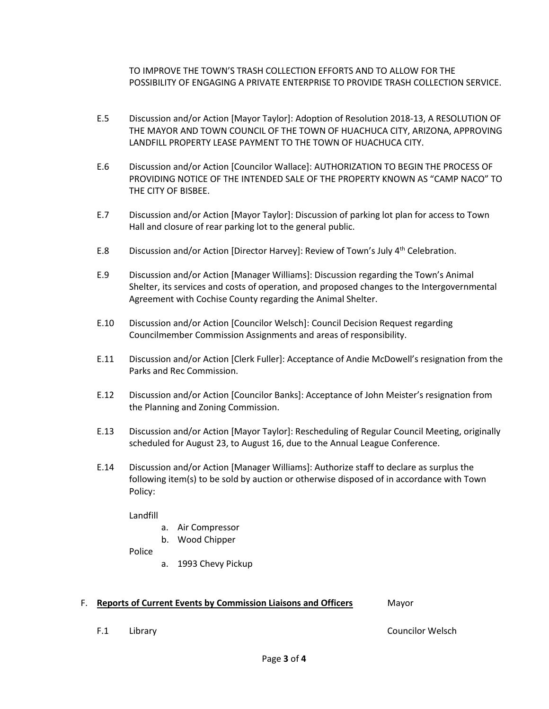TO IMPROVE THE TOWN'S TRASH COLLECTION EFFORTS AND TO ALLOW FOR THE POSSIBILITY OF ENGAGING A PRIVATE ENTERPRISE TO PROVIDE TRASH COLLECTION SERVICE.

- E.5 Discussion and/or Action [Mayor Taylor]: Adoption of Resolution 2018-13, A RESOLUTION OF THE MAYOR AND TOWN COUNCIL OF THE TOWN OF HUACHUCA CITY, ARIZONA, APPROVING LANDFILL PROPERTY LEASE PAYMENT TO THE TOWN OF HUACHUCA CITY.
- E.6 Discussion and/or Action [Councilor Wallace]: AUTHORIZATION TO BEGIN THE PROCESS OF PROVIDING NOTICE OF THE INTENDED SALE OF THE PROPERTY KNOWN AS "CAMP NACO" TO THE CITY OF BISBEE.
- E.7 Discussion and/or Action [Mayor Taylor]: Discussion of parking lot plan for access to Town Hall and closure of rear parking lot to the general public.
- E.8 Discussion and/or Action [Director Harvey]: Review of Town's July  $4^{th}$  Celebration.
- E.9 Discussion and/or Action [Manager Williams]: Discussion regarding the Town's Animal Shelter, its services and costs of operation, and proposed changes to the Intergovernmental Agreement with Cochise County regarding the Animal Shelter.
- E.10 Discussion and/or Action [Councilor Welsch]: Council Decision Request regarding Councilmember Commission Assignments and areas of responsibility.
- E.11 Discussion and/or Action [Clerk Fuller]: Acceptance of Andie McDowell's resignation from the Parks and Rec Commission.
- E.12 Discussion and/or Action [Councilor Banks]: Acceptance of John Meister's resignation from the Planning and Zoning Commission.
- E.13 Discussion and/or Action [Mayor Taylor]: Rescheduling of Regular Council Meeting, originally scheduled for August 23, to August 16, due to the Annual League Conference.
- E.14 Discussion and/or Action [Manager Williams]: Authorize staff to declare as surplus the following item(s) to be sold by auction or otherwise disposed of in accordance with Town Policy:

Landfill

- a. Air Compressor
- b. Wood Chipper

Police

a. 1993 Chevy Pickup

#### F. **Reports of Current Events by Commission Liaisons and Officers** Mayor

F.1 Library Councilor Welsch